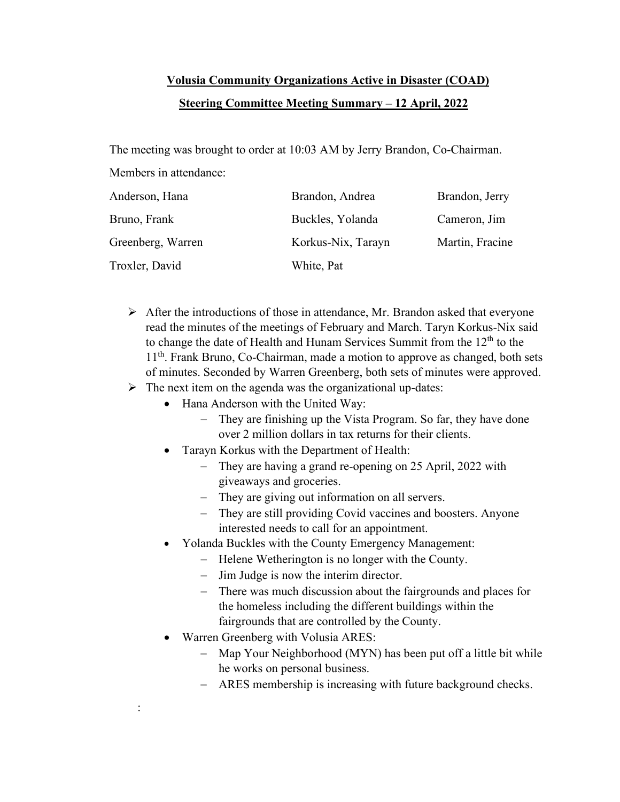## **Volusia Community Organizations Active in Disaster (COAD) Steering Committee Meeting Summary – 12 April, 2022**

The meeting was brought to order at 10:03 AM by Jerry Brandon, Co-Chairman.

Members in attendance:

:

| Anderson, Hana    | Brandon, Andrea    | Brandon, Jerry  |
|-------------------|--------------------|-----------------|
| Bruno, Frank      | Buckles, Yolanda   | Cameron, Jim    |
| Greenberg, Warren | Korkus-Nix, Tarayn | Martin, Fracine |
| Troxler, David    | White, Pat         |                 |

- $\triangleright$  After the introductions of those in attendance, Mr. Brandon asked that everyone read the minutes of the meetings of February and March. Taryn Korkus-Nix said to change the date of Health and Hunam Services Summit from the  $12<sup>th</sup>$  to the 11<sup>th</sup>. Frank Bruno, Co-Chairman, made a motion to approve as changed, both sets of minutes. Seconded by Warren Greenberg, both sets of minutes were approved.
- $\triangleright$  The next item on the agenda was the organizational up-dates:
	- Hana Anderson with the United Way:
		- − They are finishing up the Vista Program. So far, they have done over 2 million dollars in tax returns for their clients.
	- Tarayn Korkus with the Department of Health:
		- − They are having a grand re-opening on 25 April, 2022 with giveaways and groceries.
		- − They are giving out information on all servers.
		- − They are still providing Covid vaccines and boosters. Anyone interested needs to call for an appointment.
	- Yolanda Buckles with the County Emergency Management:
		- − Helene Wetherington is no longer with the County.
		- − Jim Judge is now the interim director.
		- − There was much discussion about the fairgrounds and places for the homeless including the different buildings within the fairgrounds that are controlled by the County.
	- Warren Greenberg with Volusia ARES:
		- − Map Your Neighborhood (MYN) has been put off a little bit while he works on personal business.
		- − ARES membership is increasing with future background checks.